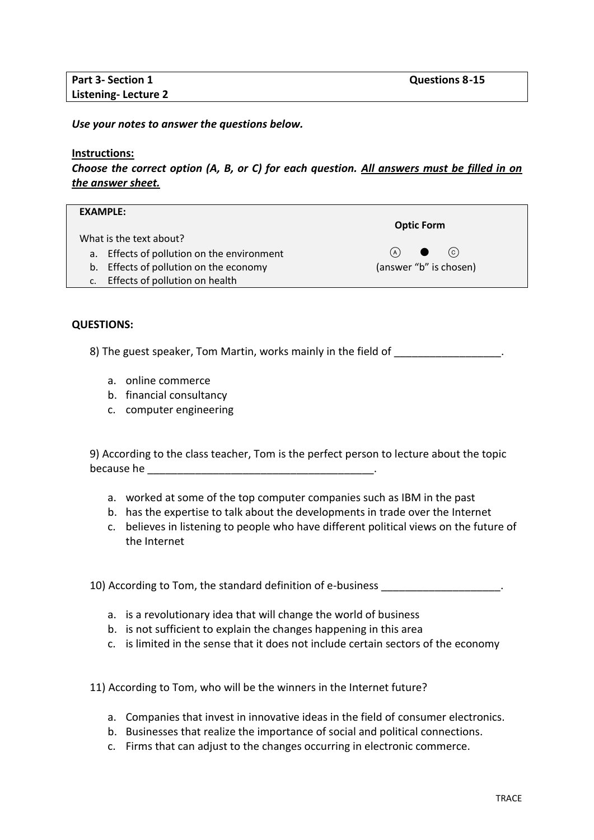*Use your notes to answer the questions below.* 

## **Instructions:**

*Choose the correct option (A, B, or C) for each question. All answers must be filled in on the answer sheet.*

| <b>EXAMPLE:</b>                               |                        |
|-----------------------------------------------|------------------------|
|                                               | <b>Optic Form</b>      |
| What is the text about?                       |                        |
| a. Effects of pollution on the environment    | (c)<br>(A)             |
| b. Effects of pollution on the economy        | (answer "b" is chosen) |
| Effects of pollution on health<br>$C_{\star}$ |                        |

## **QUESTIONS:**

8) The guest speaker, Tom Martin, works mainly in the field of

- a. online commerce
- b. financial consultancy
- c. computer engineering

9) According to the class teacher, Tom is the perfect person to lecture about the topic because he  $\overline{\phantom{a}}$ 

- a. worked at some of the top computer companies such as IBM in the past
- b. has the expertise to talk about the developments in trade over the Internet
- c. believes in listening to people who have different political views on the future of the Internet

10) According to Tom, the standard definition of e-business **Theorem 2018** 

- a. is a revolutionary idea that will change the world of business
- b. is not sufficient to explain the changes happening in this area
- c. is limited in the sense that it does not include certain sectors of the economy

11) According to Tom, who will be the winners in the Internet future?

- a. Companies that invest in innovative ideas in the field of consumer electronics.
- b. Businesses that realize the importance of social and political connections.
- c. Firms that can adjust to the changes occurring in electronic commerce.